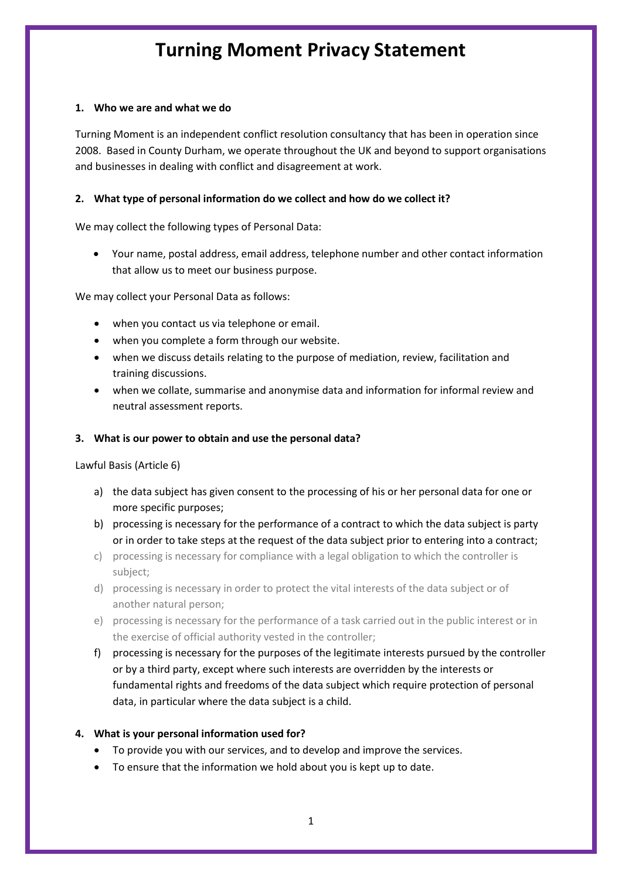# **Turning Moment Privacy Statement**

### **1. Who we are and what we do**

Turning Moment is an independent conflict resolution consultancy that has been in operation since 2008. Based in County Durham, we operate throughout the UK and beyond to support organisations and businesses in dealing with conflict and disagreement at work.

## **2. What type of personal information do we collect and how do we collect it?**

We may collect the following types of Personal Data:

• Your name, postal address, email address, telephone number and other contact information that allow us to meet our business purpose.

We may collect your Personal Data as follows:

- when you contact us via telephone or email.
- when you complete a form through our website.
- when we discuss details relating to the purpose of mediation, review, facilitation and training discussions.
- when we collate, summarise and anonymise data and information for informal review and neutral assessment reports.

### **3. What is our power to obtain and use the personal data?**

Lawful Basis (Article 6)

- a) the data subject has given consent to the processing of his or her personal data for one or more specific purposes;
- b) processing is necessary for the performance of a contract to which the data subject is party or in order to take steps at the request of the data subject prior to entering into a contract;
- c) processing is necessary for compliance with a legal obligation to which the controller is subject;
- d) processing is necessary in order to protect the vital interests of the data subject or of another natural person;
- e) processing is necessary for the performance of a task carried out in the public interest or in the exercise of official authority vested in the controller;
- f) processing is necessary for the purposes of the legitimate interests pursued by the controller or by a third party, except where such interests are overridden by the interests or fundamental rights and freedoms of the data subject which require protection of personal data, in particular where the data subject is a child.

## **4. What is your personal information used for?**

- To provide you with our services, and to develop and improve the services.
- To ensure that the information we hold about you is kept up to date.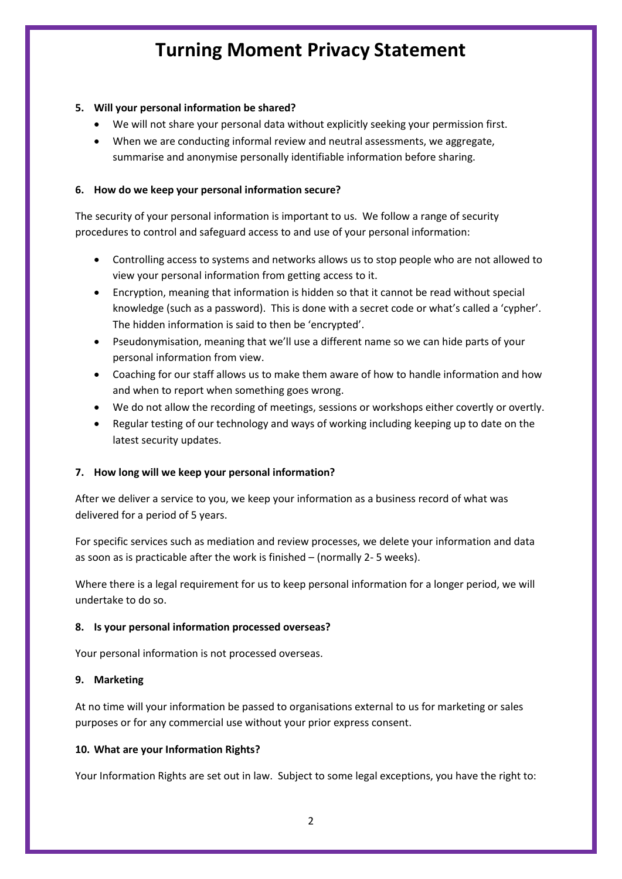# **Turning Moment Privacy Statement**

## **5. Will your personal information be shared?**

- We will not share your personal data without explicitly seeking your permission first.
- When we are conducting informal review and neutral assessments, we aggregate, summarise and anonymise personally identifiable information before sharing.

### **6. How do we keep your personal information secure?**

The security of your personal information is important to us. We follow a range of security procedures to control and safeguard access to and use of your personal information:

- Controlling access to systems and networks allows us to stop people who are not allowed to view your personal information from getting access to it.
- Encryption, meaning that information is hidden so that it cannot be read without special knowledge (such as a password). This is done with a secret code or what's called a 'cypher'. The hidden information is said to then be 'encrypted'.
- Pseudonymisation, meaning that we'll use a different name so we can hide parts of your personal information from view.
- Coaching for our staff allows us to make them aware of how to handle information and how and when to report when something goes wrong.
- We do not allow the recording of meetings, sessions or workshops either covertly or overtly.
- Regular testing of our technology and ways of working including keeping up to date on the latest security updates.

#### **7. How long will we keep your personal information?**

After we deliver a service to you, we keep your information as a business record of what was delivered for a period of 5 years.

For specific services such as mediation and review processes, we delete your information and data as soon as is practicable after the work is finished – (normally 2- 5 weeks).

Where there is a legal requirement for us to keep personal information for a longer period, we will undertake to do so.

#### **8. Is your personal information processed overseas?**

Your personal information is not processed overseas.

#### **9. Marketing**

At no time will your information be passed to organisations external to us for marketing or sales purposes or for any commercial use without your prior express consent.

#### **10. What are your Information Rights?**

Your Information Rights are set out in law. Subject to some legal exceptions, you have the right to: